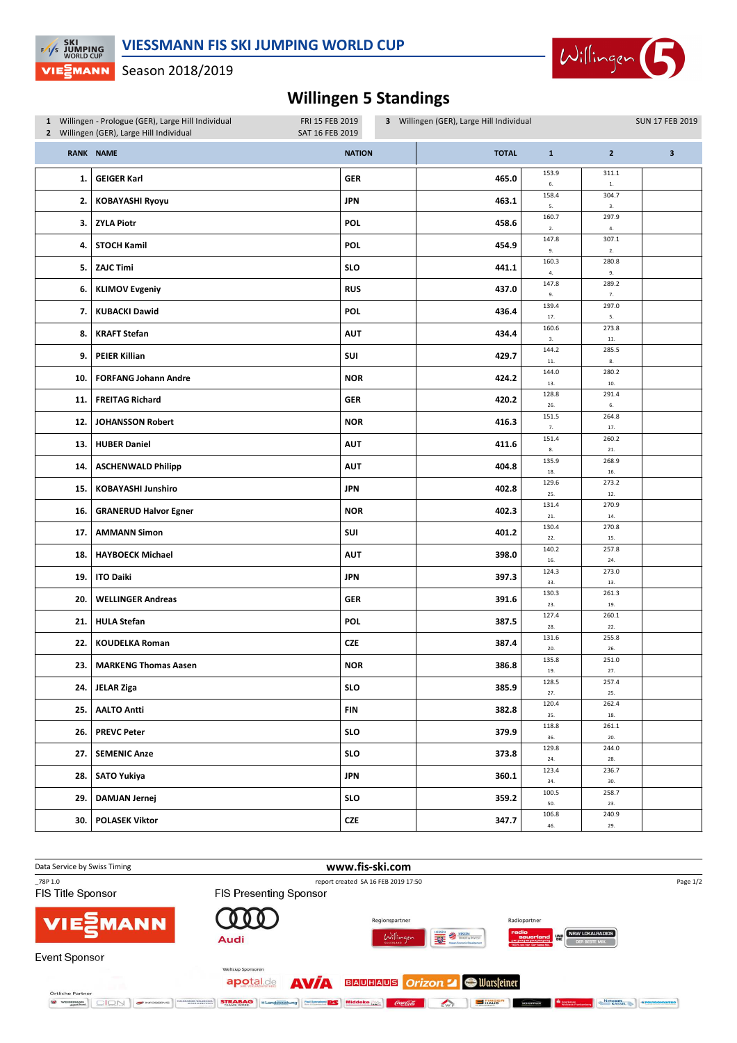

Season 2018/2019

 $F/\sqrt{s}$  JUMPING

VIE EMANN

## **Willingen 5 Standings**

|     | 1 Willingen - Prologue (GER), Large Hill Individual<br>2 Willingen (GER), Large Hill Individual | FRI 15 FEB 2019<br>SAT 16 FEB 2019 | 3 Willingen (GER), Large Hill Individual |                   |                    | <b>SUN 17 FEB 2019</b> |
|-----|-------------------------------------------------------------------------------------------------|------------------------------------|------------------------------------------|-------------------|--------------------|------------------------|
|     | <b>RANK NAME</b>                                                                                | <b>NATION</b>                      | <b>TOTAL</b>                             | $\mathbf{1}$      | $\overline{2}$     | 3                      |
| 1.  | <b>GEIGER Karl</b>                                                                              | <b>GER</b>                         | 465.0                                    | 153.9<br>6.       | 311.1<br>$1. \,$   |                        |
| 2.  | <b>KOBAYASHI Ryoyu</b>                                                                          | <b>JPN</b>                         | 463.1                                    | 158.4<br>5.       | 304.7<br>3.        |                        |
| З.  | <b>ZYLA Piotr</b>                                                                               | <b>POL</b>                         | 458.6                                    | 160.7<br>$2. \,$  | 297.9<br>4.        |                        |
| 4.  | <b>STOCH Kamil</b>                                                                              | <b>POL</b>                         | 454.9                                    | 147.8<br>9.       | 307.1<br>$2. \,$   |                        |
| 5.  | <b>ZAJC Timi</b>                                                                                | <b>SLO</b>                         | 441.1                                    | 160.3<br>4.       | 280.8<br>9.        |                        |
| 6.  | <b>KLIMOV Evgeniy</b>                                                                           | <b>RUS</b>                         | 437.0                                    | 147.8<br>9.       | 289.2<br>7.        |                        |
| 7.  | <b>KUBACKI Dawid</b>                                                                            | <b>POL</b>                         | 436.4                                    | 139.4<br>17.      | 297.0<br>5.        |                        |
| 8.  | <b>KRAFT Stefan</b>                                                                             | <b>AUT</b>                         | 434.4                                    | 160.6<br>3.       | 273.8<br>$\bf 11.$ |                        |
| 9.  | <b>PEIER Killian</b>                                                                            | SUI                                | 429.7                                    | 144.2<br>$11.$    | 285.5<br>8,        |                        |
| 10. | <b>FORFANG Johann Andre</b>                                                                     | <b>NOR</b>                         | 424.2                                    | 144.0<br>13.      | 280.2<br>$10.$     |                        |
| 11. | <b>FREITAG Richard</b>                                                                          | GER                                | 420.2                                    | 128.8<br>26.      | 291.4<br>6.        |                        |
| 12. | <b>JOHANSSON Robert</b>                                                                         | <b>NOR</b>                         | 416.3                                    | 151.5<br>7.       | 264.8<br>$17. \,$  |                        |
| 13. | <b>HUBER Daniel</b>                                                                             | <b>AUT</b>                         | 411.6                                    | 151.4<br>$\bf 8.$ | 260.2<br>21.       |                        |
| 14. | <b>ASCHENWALD Philipp</b>                                                                       | <b>AUT</b>                         | 404.8                                    | 135.9<br>18.      | 268.9<br>16.       |                        |
| 15. | <b>KOBAYASHI Junshiro</b>                                                                       | <b>JPN</b>                         | 402.8                                    | 129.6<br>25.      | 273.2<br>12.       |                        |
| 16. | <b>GRANERUD Halvor Egner</b>                                                                    | <b>NOR</b>                         | 402.3                                    | 131.4<br>21.      | 270.9<br>14.       |                        |
| 17. | <b>AMMANN Simon</b>                                                                             | SUI                                | 401.2                                    | 130.4<br>$22.$    | 270.8<br>15.       |                        |
| 18. | <b>HAYBOECK Michael</b>                                                                         | <b>AUT</b>                         | 398.0                                    | 140.2<br>16.      | 257.8<br>24.       |                        |
| 19. | <b>ITO Daiki</b>                                                                                | <b>JPN</b>                         | 397.3                                    | 124.3<br>33.      | 273.0<br>13.       |                        |
| 20. | <b>WELLINGER Andreas</b>                                                                        | <b>GER</b>                         | 391.6                                    | 130.3<br>23.      | 261.3<br>19.       |                        |
| 21. | <b>HULA Stefan</b>                                                                              | <b>POL</b>                         | 387.5                                    | 127.4<br>28.      | 260.1<br>$22.$     |                        |
| 22. | <b>KOUDELKA Roman</b>                                                                           | <b>CZE</b>                         | 387.4                                    | 131.6<br>20.      | 255.8<br>26.       |                        |
| 23. | <b>MARKENG Thomas Aasen</b>                                                                     | <b>NOR</b>                         | 386.8                                    | 135.8<br>19.      | 251.0<br>27.       |                        |
| 24. | JELAR Ziga                                                                                      | <b>SLO</b>                         | 385.9                                    | 128.5<br>27.      | 257.4<br>25.       |                        |
| 25. | <b>AALTO Antti</b>                                                                              | FIN                                | 382.8                                    | 120.4<br>35.      | 262.4<br>$18. \,$  |                        |
| 26. | <b>PREVC Peter</b>                                                                              | <b>SLO</b>                         | 379.9                                    | 118.8<br>36.      | 261.1<br>20.       |                        |
| 27. | <b>SEMENIC Anze</b>                                                                             | <b>SLO</b>                         | 373.8                                    | 129.8<br>24.      | 244.0<br>28.       |                        |
| 28. | <b>SATO Yukiya</b>                                                                              | <b>JPN</b>                         | 360.1                                    | 123.4<br>34.      | 236.7<br>30.       |                        |
| 29. | <b>DAMJAN Jernej</b>                                                                            | <b>SLO</b>                         | 359.2                                    | 100.5<br>50.      | 258.7<br>23.       |                        |
| 30. | <b>POLASEK Viktor</b>                                                                           | <b>CZE</b>                         | 347.7                                    | 106.8<br>46.      | 240.9<br>29.       |                        |